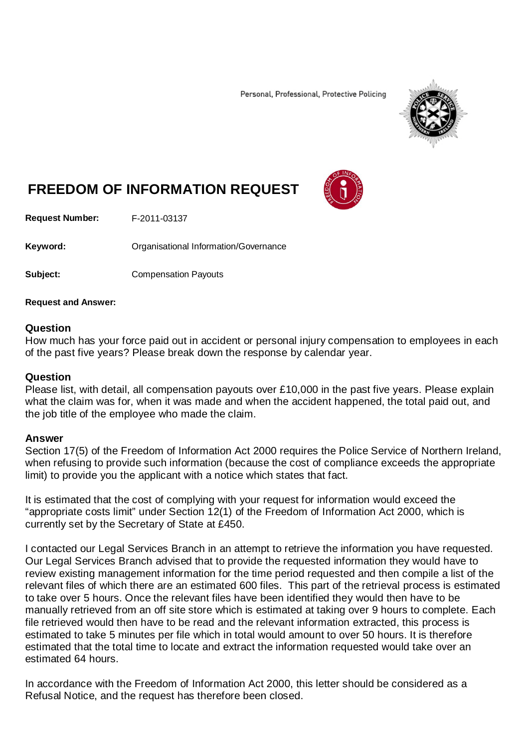Personal, Professional, Protective Policing



# **FREEDOM OF INFORMATION REQUEST**

**Request Number:** F-2011-03137

Keyword: **Communists** Organisational Information/Governance

**Subject:** Compensation Payouts

## **Request and Answer:**

### **Question**

How much has your force paid out in accident or personal injury compensation to employees in each of the past five years? Please break down the response by calendar year.

### **Question**

Please list, with detail, all compensation payouts over £10,000 in the past five years. Please explain what the claim was for, when it was made and when the accident happened, the total paid out, and the job title of the employee who made the claim.

#### **Answer**

Section 17(5) of the Freedom of Information Act 2000 requires the Police Service of Northern Ireland, when refusing to provide such information (because the cost of compliance exceeds the appropriate limit) to provide you the applicant with a notice which states that fact.

It is estimated that the cost of complying with your request for information would exceed the "appropriate costs limit" under Section 12(1) of the Freedom of Information Act 2000, which is currently set by the Secretary of State at £450.

I contacted our Legal Services Branch in an attempt to retrieve the information you have requested. Our Legal Services Branch advised that to provide the requested information they would have to review existing management information for the time period requested and then compile a list of the relevant files of which there are an estimated 600 files. This part of the retrieval process is estimated to take over 5 hours. Once the relevant files have been identified they would then have to be manually retrieved from an off site store which is estimated at taking over 9 hours to complete. Each file retrieved would then have to be read and the relevant information extracted, this process is estimated to take 5 minutes per file which in total would amount to over 50 hours. It is therefore estimated that the total time to locate and extract the information requested would take over an estimated 64 hours.

In accordance with the Freedom of Information Act 2000, this letter should be considered as a Refusal Notice, and the request has therefore been closed.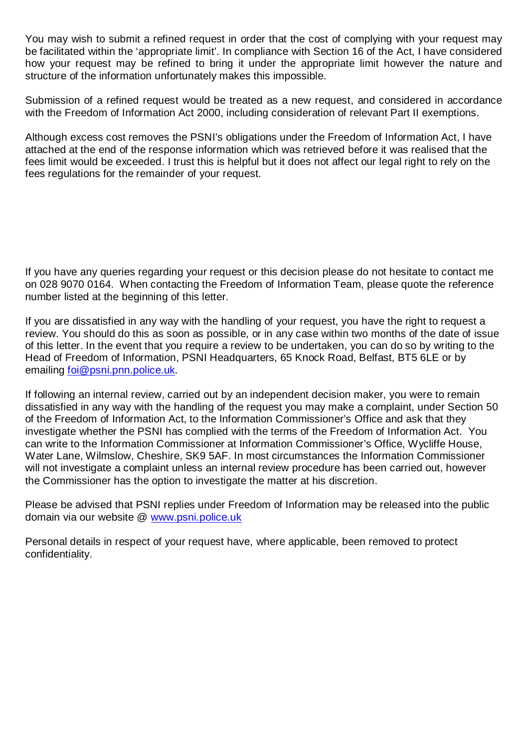You may wish to submit a refined request in order that the cost of complying with your request may be facilitated within the 'appropriate limit'. In compliance with Section 16 of the Act, I have considered how your request may be refined to bring it under the appropriate limit however the nature and structure of the information unfortunately makes this impossible.

Submission of a refined request would be treated as a new request, and considered in accordance with the Freedom of Information Act 2000, including consideration of relevant Part II exemptions.

Although excess cost removes the PSNI's obligations under the Freedom of Information Act, I have attached at the end of the response information which was retrieved before it was realised that the fees limit would be exceeded. I trust this is helpful but it does not affect our legal right to rely on the fees regulations for the remainder of your request.

If you have any queries regarding your request or this decision please do not hesitate to contact me on 028 9070 0164. When contacting the Freedom of Information Team, please quote the reference number listed at the beginning of this letter.

If you are dissatisfied in any way with the handling of your request, you have the right to request a review. You should do this as soon as possible, or in any case within two months of the date of issue of this letter. In the event that you require a review to be undertaken, you can do so by writing to the Head of Freedom of Information, PSNI Headquarters, 65 Knock Road, Belfast, BT5 6LE or by emailing [foi@psni.pnn.police.uk.](mailto:foi@psni.pnn.police.uk)

If following an internal review, carried out by an independent decision maker, you were to remain dissatisfied in any way with the handling of the request you may make a complaint, under Section 50 of the Freedom of Information Act, to the Information Commissioner's Office and ask that they investigate whether the PSNI has complied with the terms of the Freedom of Information Act. You can write to the Information Commissioner at Information Commissioner's Office, Wycliffe House, Water Lane, Wilmslow, Cheshire, SK9 5AF. In most circumstances the Information Commissioner will not investigate a complaint unless an internal review procedure has been carried out, however the Commissioner has the option to investigate the matter at his discretion.

Please be advised that PSNI replies under Freedom of Information may be released into the public domain via our website @ [www.psni.police.uk](http://www.psni.police.uk/)

Personal details in respect of your request have, where applicable, been removed to protect confidentiality.